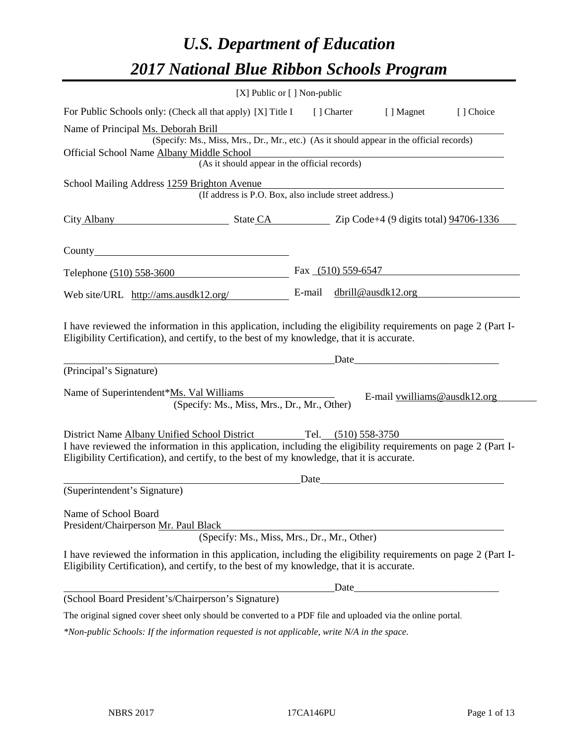# *U.S. Department of Education 2017 National Blue Ribbon Schools Program*

| [X] Public or [] Non-public                                                                                                                                                                                  |       |                                                                                                                                                                                                                                |           |
|--------------------------------------------------------------------------------------------------------------------------------------------------------------------------------------------------------------|-------|--------------------------------------------------------------------------------------------------------------------------------------------------------------------------------------------------------------------------------|-----------|
| For Public Schools only: (Check all that apply) [X] Title I [] Charter [] Magnet                                                                                                                             |       |                                                                                                                                                                                                                                | [] Choice |
| Name of Principal Ms. Deborah Brill                                                                                                                                                                          |       |                                                                                                                                                                                                                                |           |
| (Specify: Ms., Miss, Mrs., Dr., Mr., etc.) (As it should appear in the official records)                                                                                                                     |       |                                                                                                                                                                                                                                |           |
| Official School Name Albany Middle School<br>(As it should appear in the official records)                                                                                                                   |       |                                                                                                                                                                                                                                |           |
|                                                                                                                                                                                                              |       |                                                                                                                                                                                                                                |           |
| School Mailing Address 1259 Brighton Avenue<br>(If address is P.O. Box, also include street address.)                                                                                                        |       |                                                                                                                                                                                                                                |           |
| City Albany State CA Zip Code+4 (9 digits total) 94706-1336                                                                                                                                                  |       |                                                                                                                                                                                                                                |           |
|                                                                                                                                                                                                              |       |                                                                                                                                                                                                                                |           |
| Telephone (510) 558-3600                                                                                                                                                                                     |       | Fax $(510)$ 559-6547                                                                                                                                                                                                           |           |
| Web site/URL http://ams.ausdk12.org/                                                                                                                                                                         |       | E-mail dbrill@ausdk12.org                                                                                                                                                                                                      |           |
| Date<br>(Principal's Signature)                                                                                                                                                                              |       |                                                                                                                                                                                                                                |           |
| Name of Superintendent*Ms. Val Williams<br>(Specify: Ms., Miss, Mrs., Dr., Mr., Other)                                                                                                                       |       | E-mail vwilliams@ausdk12.org                                                                                                                                                                                                   |           |
| District Name Albany Unified School District Tel. (510) 558-3750                                                                                                                                             |       |                                                                                                                                                                                                                                |           |
| I have reviewed the information in this application, including the eligibility requirements on page 2 (Part I-<br>Eligibility Certification), and certify, to the best of my knowledge, that it is accurate. |       |                                                                                                                                                                                                                                |           |
|                                                                                                                                                                                                              |       | Date and the contract of the contract of the contract of the contract of the contract of the contract of the contract of the contract of the contract of the contract of the contract of the contract of the contract of the c |           |
| (Superintendent's Signature)                                                                                                                                                                                 |       |                                                                                                                                                                                                                                |           |
| Name of School Board<br>President/Chairperson Mr. Paul Black                                                                                                                                                 |       |                                                                                                                                                                                                                                |           |
| (Specify: Ms., Miss, Mrs., Dr., Mr., Other)                                                                                                                                                                  |       |                                                                                                                                                                                                                                |           |
| I have reviewed the information in this application, including the eligibility requirements on page 2 (Part I-<br>Eligibility Certification), and certify, to the best of my knowledge, that it is accurate. |       |                                                                                                                                                                                                                                |           |
|                                                                                                                                                                                                              | Date_ |                                                                                                                                                                                                                                |           |
| (School Board President's/Chairperson's Signature)                                                                                                                                                           |       |                                                                                                                                                                                                                                |           |
| The original signed cover sheet only should be converted to a PDF file and uploaded via the online portal.                                                                                                   |       |                                                                                                                                                                                                                                |           |
| *Non-public Schools: If the information requested is not applicable, write N/A in the space.                                                                                                                 |       |                                                                                                                                                                                                                                |           |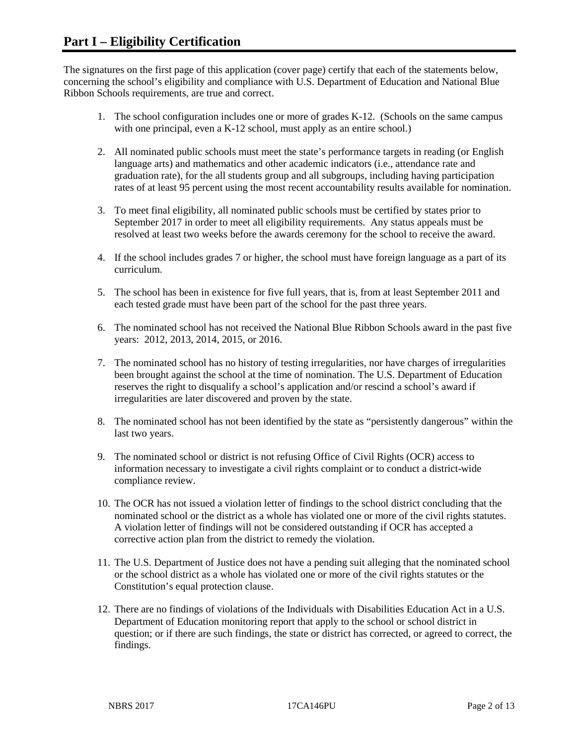The signatures on the first page of this application (cover page) certify that each of the statements below, concerning the school's eligibility and compliance with U.S. Department of Education and National Blue Ribbon Schools requirements, are true and correct.

- 1. The school configuration includes one or more of grades K-12. (Schools on the same campus with one principal, even a K-12 school, must apply as an entire school.)
- 2. All nominated public schools must meet the state's performance targets in reading (or English language arts) and mathematics and other academic indicators (i.e., attendance rate and graduation rate), for the all students group and all subgroups, including having participation rates of at least 95 percent using the most recent accountability results available for nomination.
- 3. To meet final eligibility, all nominated public schools must be certified by states prior to September 2017 in order to meet all eligibility requirements. Any status appeals must be resolved at least two weeks before the awards ceremony for the school to receive the award.
- 4. If the school includes grades 7 or higher, the school must have foreign language as a part of its curriculum.
- 5. The school has been in existence for five full years, that is, from at least September 2011 and each tested grade must have been part of the school for the past three years.
- 6. The nominated school has not received the National Blue Ribbon Schools award in the past five years: 2012, 2013, 2014, 2015, or 2016.
- 7. The nominated school has no history of testing irregularities, nor have charges of irregularities been brought against the school at the time of nomination. The U.S. Department of Education reserves the right to disqualify a school's application and/or rescind a school's award if irregularities are later discovered and proven by the state.
- 8. The nominated school has not been identified by the state as "persistently dangerous" within the last two years.
- 9. The nominated school or district is not refusing Office of Civil Rights (OCR) access to information necessary to investigate a civil rights complaint or to conduct a district-wide compliance review.
- 10. The OCR has not issued a violation letter of findings to the school district concluding that the nominated school or the district as a whole has violated one or more of the civil rights statutes. A violation letter of findings will not be considered outstanding if OCR has accepted a corrective action plan from the district to remedy the violation.
- 11. The U.S. Department of Justice does not have a pending suit alleging that the nominated school or the school district as a whole has violated one or more of the civil rights statutes or the Constitution's equal protection clause.
- 12. There are no findings of violations of the Individuals with Disabilities Education Act in a U.S. Department of Education monitoring report that apply to the school or school district in question; or if there are such findings, the state or district has corrected, or agreed to correct, the findings.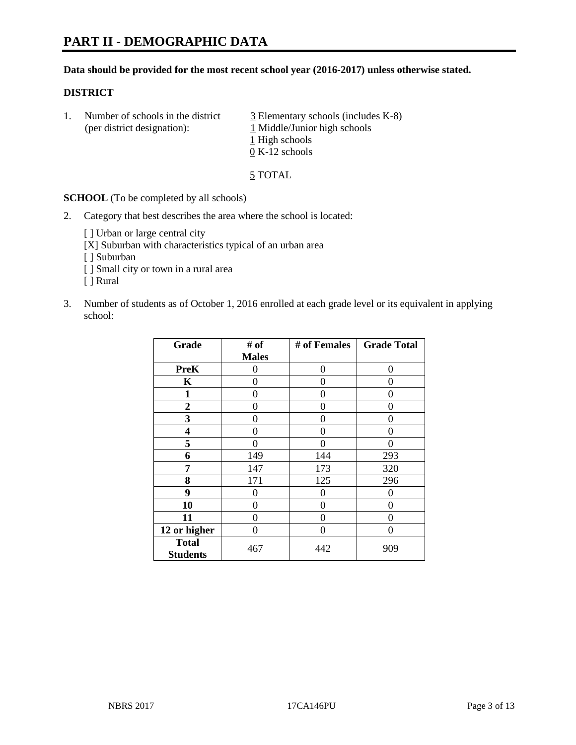#### **Data should be provided for the most recent school year (2016-2017) unless otherwise stated.**

#### **DISTRICT**

1. Number of schools in the district  $\frac{3}{2}$  Elementary schools (includes K-8) (per district designation): 1 Middle/Junior high schools 1 High schools 0 K-12 schools

5 TOTAL

**SCHOOL** (To be completed by all schools)

2. Category that best describes the area where the school is located:

[] Urban or large central city [X] Suburban with characteristics typical of an urban area

[ ] Suburban

- [ ] Small city or town in a rural area
- [ ] Rural
- 3. Number of students as of October 1, 2016 enrolled at each grade level or its equivalent in applying school:

| Grade                           | # of         | # of Females | <b>Grade Total</b> |
|---------------------------------|--------------|--------------|--------------------|
|                                 | <b>Males</b> |              |                    |
| <b>PreK</b>                     | 0            | $\theta$     | 0                  |
| $\mathbf K$                     | 0            | 0            | 0                  |
| 1                               | 0            | 0            | 0                  |
| $\boldsymbol{2}$                | 0            | 0            | $\mathbf{\Omega}$  |
| 3                               | 0            | 0            | 0                  |
| 4                               | 0            | 0            | 0                  |
| 5                               | 0            | 0            | 0                  |
| 6                               | 149          | 144          | 293                |
| 7                               | 147          | 173          | 320                |
| 8                               | 171          | 125          | 296                |
| 9                               | 0            | 0            | 0                  |
| 10                              | 0            | 0            | 0                  |
| 11                              | 0            | 0            | $\mathbf{\Omega}$  |
| 12 or higher                    | 0            | 0            | $\mathbf{\Omega}$  |
| <b>Total</b><br><b>Students</b> | 467          | 442          | 909                |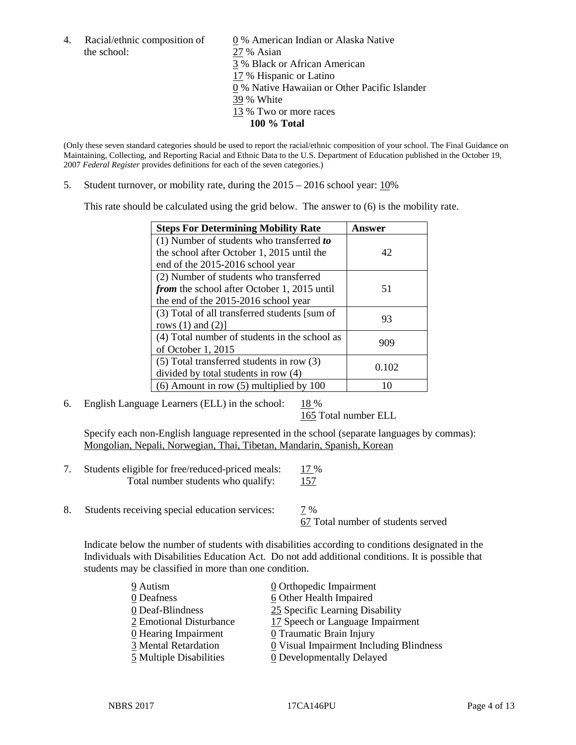the school: 27 % Asian

4. Racial/ethnic composition of  $\qquad \qquad \underline{0}$  % American Indian or Alaska Native 3 % Black or African American 17 % Hispanic or Latino 0 % Native Hawaiian or Other Pacific Islander 39 % White 13 % Two or more races **100 % Total**

(Only these seven standard categories should be used to report the racial/ethnic composition of your school. The Final Guidance on Maintaining, Collecting, and Reporting Racial and Ethnic Data to the U.S. Department of Education published in the October 19, 2007 *Federal Register* provides definitions for each of the seven categories.)

5. Student turnover, or mobility rate, during the 2015 – 2016 school year: 10%

This rate should be calculated using the grid below. The answer to (6) is the mobility rate.

| <b>Steps For Determining Mobility Rate</b>         | Answer |
|----------------------------------------------------|--------|
| (1) Number of students who transferred to          |        |
| the school after October 1, 2015 until the         | 42     |
| end of the 2015-2016 school year                   |        |
| (2) Number of students who transferred             |        |
| <i>from</i> the school after October 1, 2015 until | 51     |
| the end of the 2015-2016 school year               |        |
| (3) Total of all transferred students [sum of      | 93     |
| rows $(1)$ and $(2)$ ]                             |        |
| (4) Total number of students in the school as      |        |
| of October 1, 2015                                 | 909    |
| $(5)$ Total transferred students in row $(3)$      |        |
| divided by total students in row (4)               | 0.102  |
| $(6)$ Amount in row $(5)$ multiplied by 100        | 10     |

6. English Language Learners (ELL) in the school:  $18\%$ 

165 Total number ELL

Specify each non-English language represented in the school (separate languages by commas): Mongolian, Nepali, Norwegian, Thai, Tibetan, Mandarin, Spanish, Korean

| Students eligible for free/reduced-priced meals: | 17 %        |
|--------------------------------------------------|-------------|
| Total number students who qualify:               | <u> 157</u> |

8. Students receiving special education services: 7 %

67 Total number of students served

Indicate below the number of students with disabilities according to conditions designated in the Individuals with Disabilities Education Act. Do not add additional conditions. It is possible that students may be classified in more than one condition.

| 9 Autism                | $\underline{0}$ Orthopedic Impairment   |
|-------------------------|-----------------------------------------|
| 0 Deafness              | 6 Other Health Impaired                 |
| 0 Deaf-Blindness        | 25 Specific Learning Disability         |
| 2 Emotional Disturbance | 17 Speech or Language Impairment        |
| 0 Hearing Impairment    | 0 Traumatic Brain Injury                |
| 3 Mental Retardation    | 0 Visual Impairment Including Blindness |
| 5 Multiple Disabilities | <b>0</b> Developmentally Delayed        |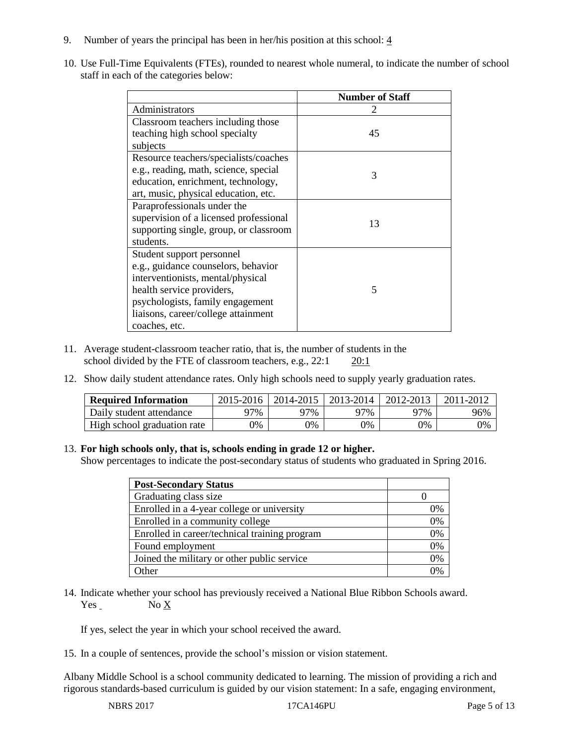- 9. Number of years the principal has been in her/his position at this school:  $\frac{4}{3}$
- 10. Use Full-Time Equivalents (FTEs), rounded to nearest whole numeral, to indicate the number of school staff in each of the categories below:

|                                        | <b>Number of Staff</b> |
|----------------------------------------|------------------------|
| Administrators                         |                        |
| Classroom teachers including those     |                        |
| teaching high school specialty         | 45                     |
| subjects                               |                        |
| Resource teachers/specialists/coaches  |                        |
| e.g., reading, math, science, special  | 3                      |
| education, enrichment, technology,     |                        |
| art, music, physical education, etc.   |                        |
| Paraprofessionals under the            |                        |
| supervision of a licensed professional | 13                     |
| supporting single, group, or classroom |                        |
| students.                              |                        |
| Student support personnel              |                        |
| e.g., guidance counselors, behavior    |                        |
| interventionists, mental/physical      |                        |
| health service providers,              | 5                      |
| psychologists, family engagement       |                        |
| liaisons, career/college attainment    |                        |
| coaches, etc.                          |                        |

- 11. Average student-classroom teacher ratio, that is, the number of students in the school divided by the FTE of classroom teachers, e.g., 22:1 20:1
- 12. Show daily student attendance rates. Only high schools need to supply yearly graduation rates.

| <b>Required Information</b> | 2015-2016 | 2014-2015 | 2013-2014 | 2012-2013 |     |
|-----------------------------|-----------|-----------|-----------|-----------|-----|
| Daily student attendance    | ว7%       | 97%       | 97%       | ን7%       | 96% |
| High school graduation rate | 0%        | 0%        | 0%        | 9%        | 0%  |

#### 13. **For high schools only, that is, schools ending in grade 12 or higher.**

Show percentages to indicate the post-secondary status of students who graduated in Spring 2016.

| <b>Post-Secondary Status</b>                  |    |
|-----------------------------------------------|----|
| Graduating class size                         |    |
| Enrolled in a 4-year college or university    | 0% |
| Enrolled in a community college               | 0% |
| Enrolled in career/technical training program | 0% |
| Found employment                              | 0% |
| Joined the military or other public service   | 0% |
| Other                                         |    |

14. Indicate whether your school has previously received a National Blue Ribbon Schools award. Yes No X

If yes, select the year in which your school received the award.

15. In a couple of sentences, provide the school's mission or vision statement.

Albany Middle School is a school community dedicated to learning. The mission of providing a rich and rigorous standards-based curriculum is guided by our vision statement: In a safe, engaging environment,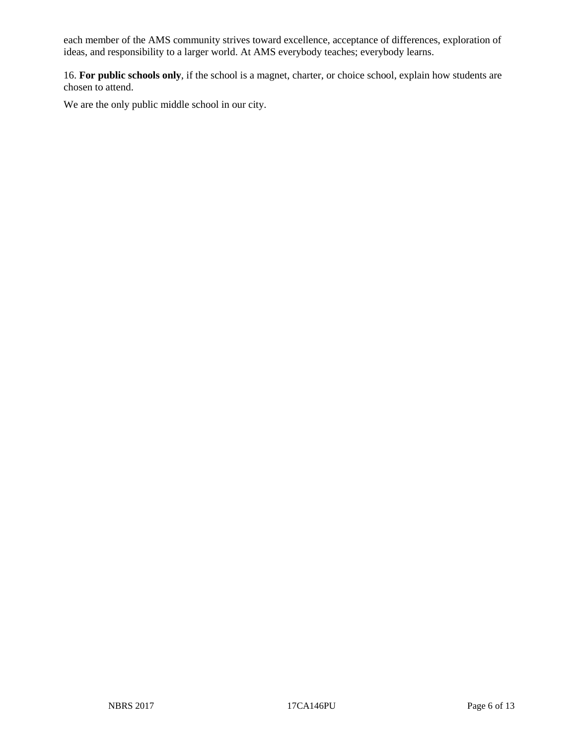each member of the AMS community strives toward excellence, acceptance of differences, exploration of ideas, and responsibility to a larger world. At AMS everybody teaches; everybody learns.

16. **For public schools only**, if the school is a magnet, charter, or choice school, explain how students are chosen to attend.

We are the only public middle school in our city.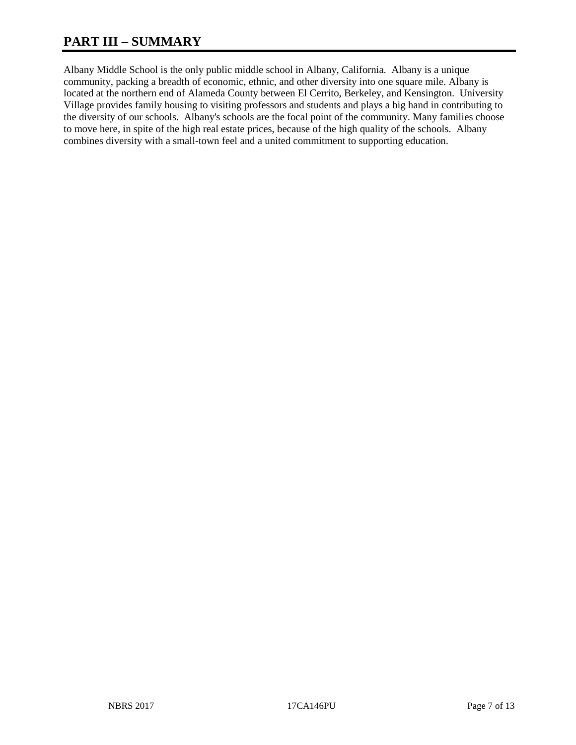# **PART III – SUMMARY**

Albany Middle School is the only public middle school in Albany, California. Albany is a unique community, packing a breadth of economic, ethnic, and other diversity into one square mile. Albany is located at the northern end of Alameda County between El Cerrito, Berkeley, and Kensington. University Village provides family housing to visiting professors and students and plays a big hand in contributing to the diversity of our schools. Albany's schools are the focal point of the community. Many families choose to move here, in spite of the high real estate prices, because of the high quality of the schools. Albany combines diversity with a small-town feel and a united commitment to supporting education.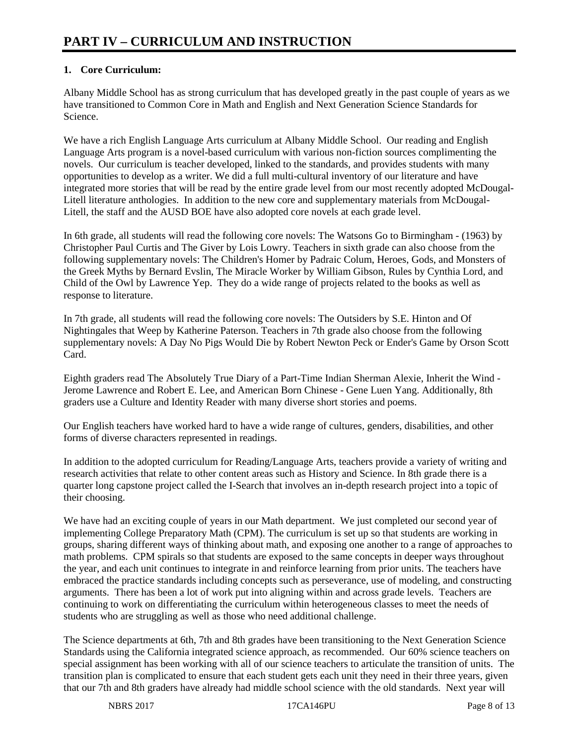# **1. Core Curriculum:**

Albany Middle School has as strong curriculum that has developed greatly in the past couple of years as we have transitioned to Common Core in Math and English and Next Generation Science Standards for Science.

We have a rich English Language Arts curriculum at Albany Middle School. Our reading and English Language Arts program is a novel-based curriculum with various non-fiction sources complimenting the novels. Our curriculum is teacher developed, linked to the standards, and provides students with many opportunities to develop as a writer. We did a full multi-cultural inventory of our literature and have integrated more stories that will be read by the entire grade level from our most recently adopted McDougal-Litell literature anthologies. In addition to the new core and supplementary materials from McDougal-Litell, the staff and the AUSD BOE have also adopted core novels at each grade level.

In 6th grade, all students will read the following core novels: The Watsons Go to Birmingham - (1963) by Christopher Paul Curtis and The Giver by Lois Lowry. Teachers in sixth grade can also choose from the following supplementary novels: The Children's Homer by Padraic Colum, Heroes, Gods, and Monsters of the Greek Myths by Bernard Evslin, The Miracle Worker by William Gibson, Rules by Cynthia Lord, and Child of the Owl by Lawrence Yep. They do a wide range of projects related to the books as well as response to literature.

In 7th grade, all students will read the following core novels: The Outsiders by S.E. Hinton and Of Nightingales that Weep by Katherine Paterson. Teachers in 7th grade also choose from the following supplementary novels: A Day No Pigs Would Die by Robert Newton Peck or Ender's Game by Orson Scott Card.

Eighth graders read The Absolutely True Diary of a Part-Time Indian Sherman Alexie, Inherit the Wind - Jerome Lawrence and Robert E. Lee, and American Born Chinese - Gene Luen Yang. Additionally, 8th graders use a Culture and Identity Reader with many diverse short stories and poems.

Our English teachers have worked hard to have a wide range of cultures, genders, disabilities, and other forms of diverse characters represented in readings.

In addition to the adopted curriculum for Reading/Language Arts, teachers provide a variety of writing and research activities that relate to other content areas such as History and Science. In 8th grade there is a quarter long capstone project called the I-Search that involves an in-depth research project into a topic of their choosing.

We have had an exciting couple of years in our Math department. We just completed our second year of implementing College Preparatory Math (CPM). The curriculum is set up so that students are working in groups, sharing different ways of thinking about math, and exposing one another to a range of approaches to math problems. CPM spirals so that students are exposed to the same concepts in deeper ways throughout the year, and each unit continues to integrate in and reinforce learning from prior units. The teachers have embraced the practice standards including concepts such as perseverance, use of modeling, and constructing arguments. There has been a lot of work put into aligning within and across grade levels. Teachers are continuing to work on differentiating the curriculum within heterogeneous classes to meet the needs of students who are struggling as well as those who need additional challenge.

The Science departments at 6th, 7th and 8th grades have been transitioning to the Next Generation Science Standards using the California integrated science approach, as recommended. Our 60% science teachers on special assignment has been working with all of our science teachers to articulate the transition of units. The transition plan is complicated to ensure that each student gets each unit they need in their three years, given that our 7th and 8th graders have already had middle school science with the old standards. Next year will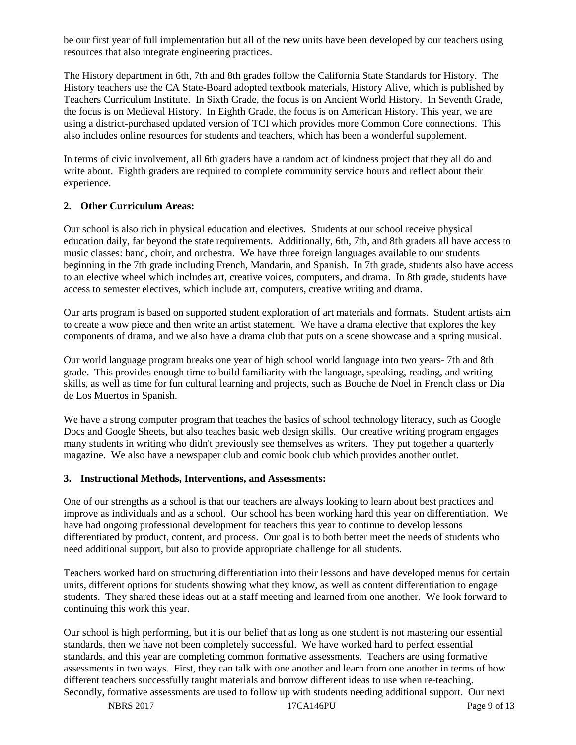be our first year of full implementation but all of the new units have been developed by our teachers using resources that also integrate engineering practices.

The History department in 6th, 7th and 8th grades follow the California State Standards for History. The History teachers use the CA State-Board adopted textbook materials, History Alive, which is published by Teachers Curriculum Institute. In Sixth Grade, the focus is on Ancient World History. In Seventh Grade, the focus is on Medieval History. In Eighth Grade, the focus is on American History. This year, we are using a district-purchased updated version of TCI which provides more Common Core connections. This also includes online resources for students and teachers, which has been a wonderful supplement.

In terms of civic involvement, all 6th graders have a random act of kindness project that they all do and write about. Eighth graders are required to complete community service hours and reflect about their experience.

#### **2. Other Curriculum Areas:**

Our school is also rich in physical education and electives. Students at our school receive physical education daily, far beyond the state requirements. Additionally, 6th, 7th, and 8th graders all have access to music classes: band, choir, and orchestra. We have three foreign languages available to our students beginning in the 7th grade including French, Mandarin, and Spanish. In 7th grade, students also have access to an elective wheel which includes art, creative voices, computers, and drama. In 8th grade, students have access to semester electives, which include art, computers, creative writing and drama.

Our arts program is based on supported student exploration of art materials and formats. Student artists aim to create a wow piece and then write an artist statement. We have a drama elective that explores the key components of drama, and we also have a drama club that puts on a scene showcase and a spring musical.

Our world language program breaks one year of high school world language into two years- 7th and 8th grade. This provides enough time to build familiarity with the language, speaking, reading, and writing skills, as well as time for fun cultural learning and projects, such as Bouche de Noel in French class or Dia de Los Muertos in Spanish.

We have a strong computer program that teaches the basics of school technology literacy, such as Google Docs and Google Sheets, but also teaches basic web design skills. Our creative writing program engages many students in writing who didn't previously see themselves as writers. They put together a quarterly magazine. We also have a newspaper club and comic book club which provides another outlet.

#### **3. Instructional Methods, Interventions, and Assessments:**

One of our strengths as a school is that our teachers are always looking to learn about best practices and improve as individuals and as a school. Our school has been working hard this year on differentiation. We have had ongoing professional development for teachers this year to continue to develop lessons differentiated by product, content, and process. Our goal is to both better meet the needs of students who need additional support, but also to provide appropriate challenge for all students.

Teachers worked hard on structuring differentiation into their lessons and have developed menus for certain units, different options for students showing what they know, as well as content differentiation to engage students. They shared these ideas out at a staff meeting and learned from one another. We look forward to continuing this work this year.

Our school is high performing, but it is our belief that as long as one student is not mastering our essential standards, then we have not been completely successful. We have worked hard to perfect essential standards, and this year are completing common formative assessments. Teachers are using formative assessments in two ways. First, they can talk with one another and learn from one another in terms of how different teachers successfully taught materials and borrow different ideas to use when re-teaching. Secondly, formative assessments are used to follow up with students needing additional support. Our next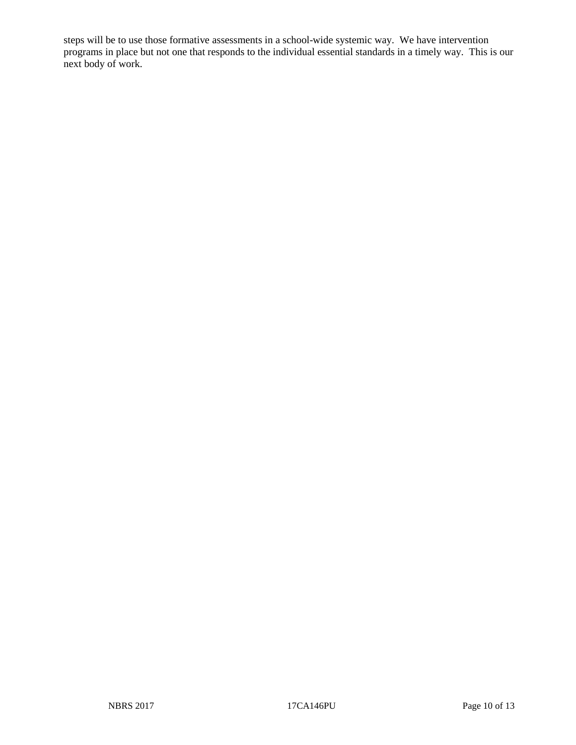steps will be to use those formative assessments in a school-wide systemic way. We have intervention programs in place but not one that responds to the individual essential standards in a timely way. This is our next body of work.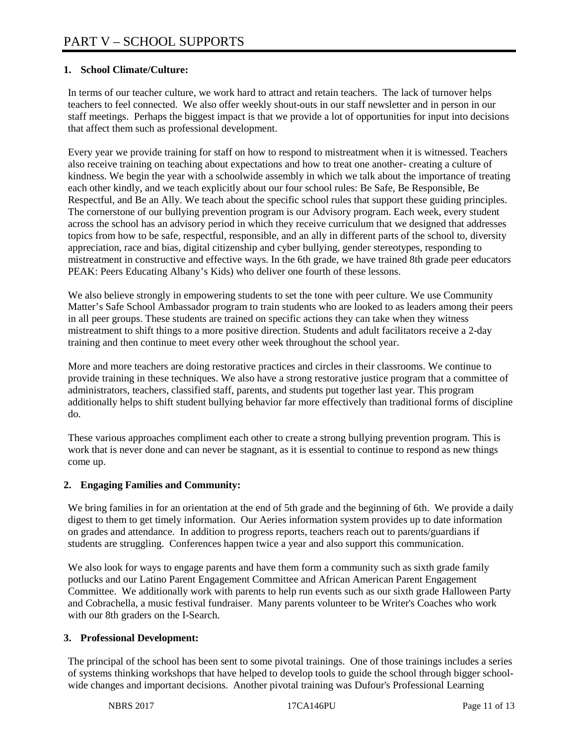# **1. School Climate/Culture:**

In terms of our teacher culture, we work hard to attract and retain teachers. The lack of turnover helps teachers to feel connected. We also offer weekly shout-outs in our staff newsletter and in person in our staff meetings. Perhaps the biggest impact is that we provide a lot of opportunities for input into decisions that affect them such as professional development.

Every year we provide training for staff on how to respond to mistreatment when it is witnessed. Teachers also receive training on teaching about expectations and how to treat one another- creating a culture of kindness. We begin the year with a schoolwide assembly in which we talk about the importance of treating each other kindly, and we teach explicitly about our four school rules: Be Safe, Be Responsible, Be Respectful, and Be an Ally. We teach about the specific school rules that support these guiding principles. The cornerstone of our bullying prevention program is our Advisory program. Each week, every student across the school has an advisory period in which they receive curriculum that we designed that addresses topics from how to be safe, respectful, responsible, and an ally in different parts of the school to, diversity appreciation, race and bias, digital citizenship and cyber bullying, gender stereotypes, responding to mistreatment in constructive and effective ways. In the 6th grade, we have trained 8th grade peer educators PEAK: Peers Educating Albany's Kids) who deliver one fourth of these lessons.

We also believe strongly in empowering students to set the tone with peer culture. We use Community Matter's Safe School Ambassador program to train students who are looked to as leaders among their peers in all peer groups. These students are trained on specific actions they can take when they witness mistreatment to shift things to a more positive direction. Students and adult facilitators receive a 2-day training and then continue to meet every other week throughout the school year.

More and more teachers are doing restorative practices and circles in their classrooms. We continue to provide training in these techniques. We also have a strong restorative justice program that a committee of administrators, teachers, classified staff, parents, and students put together last year. This program additionally helps to shift student bullying behavior far more effectively than traditional forms of discipline do.

These various approaches compliment each other to create a strong bullying prevention program. This is work that is never done and can never be stagnant, as it is essential to continue to respond as new things come up.

## **2. Engaging Families and Community:**

We bring families in for an orientation at the end of 5th grade and the beginning of 6th. We provide a daily digest to them to get timely information. Our Aeries information system provides up to date information on grades and attendance. In addition to progress reports, teachers reach out to parents/guardians if students are struggling. Conferences happen twice a year and also support this communication.

We also look for ways to engage parents and have them form a community such as sixth grade family potlucks and our Latino Parent Engagement Committee and African American Parent Engagement Committee. We additionally work with parents to help run events such as our sixth grade Halloween Party and Cobrachella, a music festival fundraiser. Many parents volunteer to be Writer's Coaches who work with our 8th graders on the I-Search.

## **3. Professional Development:**

The principal of the school has been sent to some pivotal trainings. One of those trainings includes a series of systems thinking workshops that have helped to develop tools to guide the school through bigger schoolwide changes and important decisions. Another pivotal training was Dufour's Professional Learning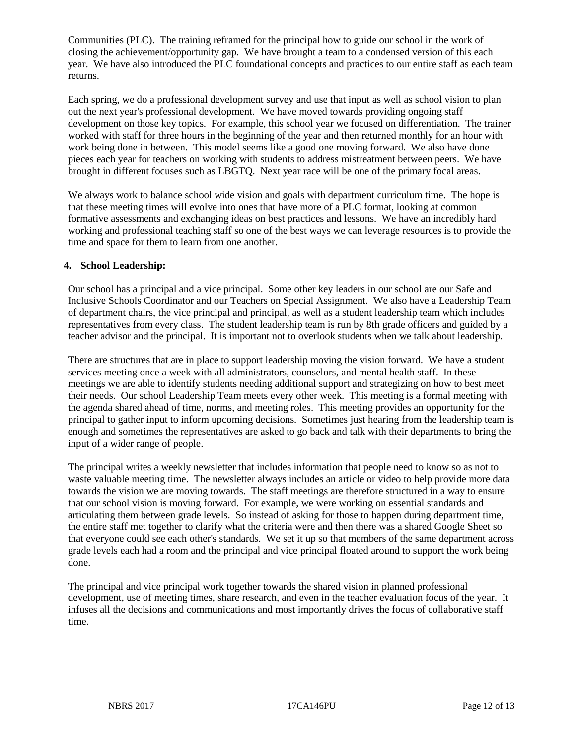Communities (PLC). The training reframed for the principal how to guide our school in the work of closing the achievement/opportunity gap. We have brought a team to a condensed version of this each year. We have also introduced the PLC foundational concepts and practices to our entire staff as each team returns.

Each spring, we do a professional development survey and use that input as well as school vision to plan out the next year's professional development. We have moved towards providing ongoing staff development on those key topics. For example, this school year we focused on differentiation. The trainer worked with staff for three hours in the beginning of the year and then returned monthly for an hour with work being done in between. This model seems like a good one moving forward. We also have done pieces each year for teachers on working with students to address mistreatment between peers. We have brought in different focuses such as LBGTQ. Next year race will be one of the primary focal areas.

We always work to balance school wide vision and goals with department curriculum time. The hope is that these meeting times will evolve into ones that have more of a PLC format, looking at common formative assessments and exchanging ideas on best practices and lessons. We have an incredibly hard working and professional teaching staff so one of the best ways we can leverage resources is to provide the time and space for them to learn from one another.

#### **4. School Leadership:**

Our school has a principal and a vice principal. Some other key leaders in our school are our Safe and Inclusive Schools Coordinator and our Teachers on Special Assignment. We also have a Leadership Team of department chairs, the vice principal and principal, as well as a student leadership team which includes representatives from every class. The student leadership team is run by 8th grade officers and guided by a teacher advisor and the principal. It is important not to overlook students when we talk about leadership.

There are structures that are in place to support leadership moving the vision forward. We have a student services meeting once a week with all administrators, counselors, and mental health staff. In these meetings we are able to identify students needing additional support and strategizing on how to best meet their needs. Our school Leadership Team meets every other week. This meeting is a formal meeting with the agenda shared ahead of time, norms, and meeting roles. This meeting provides an opportunity for the principal to gather input to inform upcoming decisions. Sometimes just hearing from the leadership team is enough and sometimes the representatives are asked to go back and talk with their departments to bring the input of a wider range of people.

The principal writes a weekly newsletter that includes information that people need to know so as not to waste valuable meeting time. The newsletter always includes an article or video to help provide more data towards the vision we are moving towards. The staff meetings are therefore structured in a way to ensure that our school vision is moving forward. For example, we were working on essential standards and articulating them between grade levels. So instead of asking for those to happen during department time, the entire staff met together to clarify what the criteria were and then there was a shared Google Sheet so that everyone could see each other's standards. We set it up so that members of the same department across grade levels each had a room and the principal and vice principal floated around to support the work being done.

The principal and vice principal work together towards the shared vision in planned professional development, use of meeting times, share research, and even in the teacher evaluation focus of the year. It infuses all the decisions and communications and most importantly drives the focus of collaborative staff time.